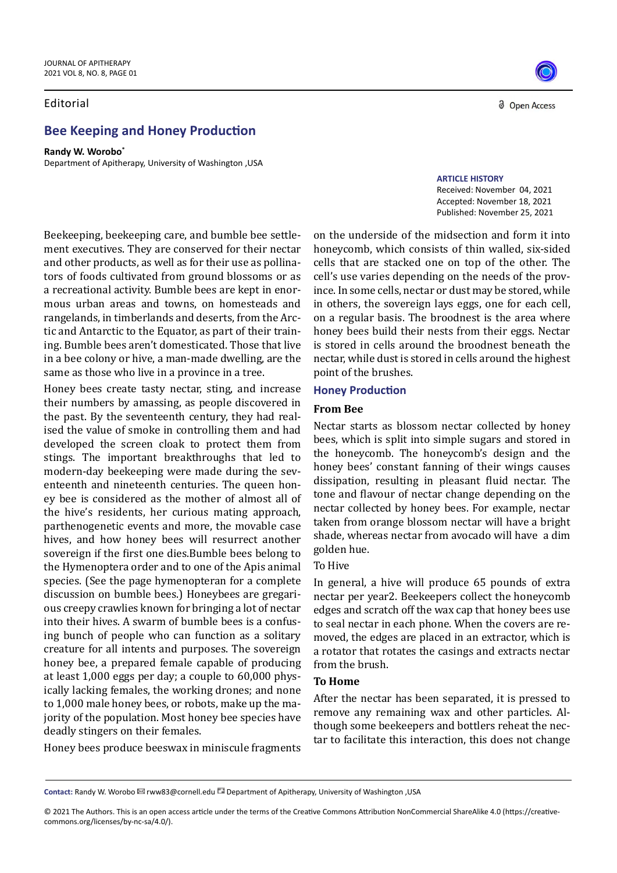#### Editorial

# **Bee Keeping and Honey Production**

**Randy W. Worobo\*** Department of Apitherapy, University of Washington ,USA

Beekeeping, beekeeping care, and bumble bee settlement executives. They are conserved for their nectar and other products, as well as for their use as pollinators of foods cultivated from ground blossoms or as a recreational activity. Bumble bees are kept in enormous urban areas and towns, on homesteads and rangelands, in timberlands and deserts, from the Arctic and Antarctic to the Equator, as part of their training. Bumble bees aren't domesticated. Those that live in a bee colony or hive, a man-made dwelling, are the same as those who live in a province in a tree.

Honey bees create tasty nectar, sting, and increase their numbers by amassing, as people discovered in the past. By the seventeenth century, they had realised the value of smoke in controlling them and had developed the screen cloak to protect them from stings. The important breakthroughs that led to modern-day beekeeping were made during the seventeenth and nineteenth centuries. The queen honey bee is considered as the mother of almost all of the hive's residents, her curious mating approach, parthenogenetic events and more, the movable case hives, and how honey bees will resurrect another sovereign if the first one dies.Bumble bees belong to the Hymenoptera order and to one of the Apis animal species. (See the page hymenopteran for a complete discussion on bumble bees.) Honeybees are gregarious creepy crawlies known for bringing a lot of nectar into their hives. A swarm of bumble bees is a confusing bunch of people who can function as a solitary creature for all intents and purposes. The sovereign honey bee, a prepared female capable of producing at least 1,000 eggs per day; a couple to 60,000 physically lacking females, the working drones; and none to 1,000 male honey bees, or robots, make up the majority of the population. Most honey bee species have deadly stingers on their females.

d Open Access

**ARTICLE HISTORY** Received: November 04, 2021 Accepted: November 18, 2021 Published: November 25, 2021

on the underside of the midsection and form it into honeycomb, which consists of thin walled, six-sided cells that are stacked one on top of the other. The cell's use varies depending on the needs of the province. In some cells, nectar or dust may be stored, while in others, the sovereign lays eggs, one for each cell, on a regular basis. The broodnest is the area where honey bees build their nests from their eggs. Nectar is stored in cells around the broodnest beneath the nectar, while dust is stored in cells around the highest point of the brushes.

#### **Honey Production**

#### **From Bee**

Nectar starts as blossom nectar collected by honey bees, which is split into simple sugars and stored in the honeycomb. The honeycomb's design and the honey bees' constant fanning of their wings causes dissipation, resulting in pleasant fluid nectar. The tone and flavour of nectar change depending on the nectar collected by honey bees. For example, nectar taken from orange blossom nectar will have a bright shade, whereas nectar from avocado will have a dim golden hue.

## To Hive

In general, a hive will produce 65 pounds of extra nectar per year2. Beekeepers collect the honeycomb edges and scratch off the wax cap that honey bees use to seal nectar in each phone. When the covers are removed, the edges are placed in an extractor, which is a rotator that rotates the casings and extracts nectar from the brush.

### **To Home**

After the nectar has been separated, it is pressed to remove any remaining wax and other particles. Although some beekeepers and bottlers reheat the nectar to facilitate this interaction, this does not change

Honey bees produce beeswax in miniscule fragments

Contact: Randy W. Worobo **⊠** rww83@cornell.edu **Department of Apitherapy, University of Washington ,USA** 

<sup>© 2021</sup> The Authors. This is an open access article under the terms of the Creative Commons Attribution NonCommercial ShareAlike 4.0 (https://creativecommons.org/licenses/by-nc-sa/4.0/).